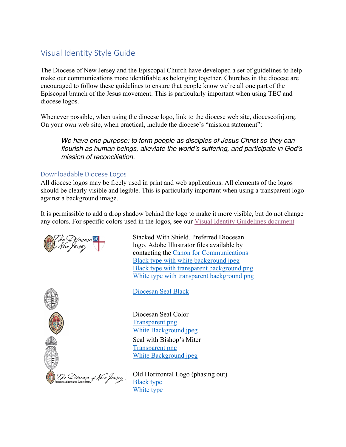## Visual Identity Style Guide

The Diocese of New Jersey and the Episcopal Church have developed a set of guidelines to help make our communications more identifiable as belonging together. Churches in the diocese are encouraged to follow these guidelines to ensure that people know we're all one part of the Episcopal branch of the Jesus movement. This is particularly important when using TEC and diocese logos.

Whenever possible, when using the diocese logo, link to the diocese web site, dioceseofnj.org. On your own web site, when practical, include the diocese's "mission statement":

*We have one purpose: to form people as disciples of Jesus Christ so they can flourish as human beings, alleviate the world's suffering, and participate in God's mission of reconciliation.*

## Downloadable Diocese Logos

All diocese logos may be freely used in print and web applications. All elements of the logos should be clearly visible and legible. This is particularly important when using a transparent logo against a background image.

It is permissible to add a drop shadow behind the logo to make it more visible, but do not change any colors. For specific colors used in the logos, see our Visual Identity Guidelines document

a Jersey



Stacked With Shield. Preferred Diocesan logo. Adobe Illustrator files available by contacting the Canon for Communications Black type with white background jpeg Black type with transparent background png White type with transparent background png

Diocesan Seal Black

Diocesan Seal Color Transparent png White Background jpeg Seal with Bishop's Miter Transparent png White Background jpeg

Old Horizontal Logo (phasing out) Black type White type